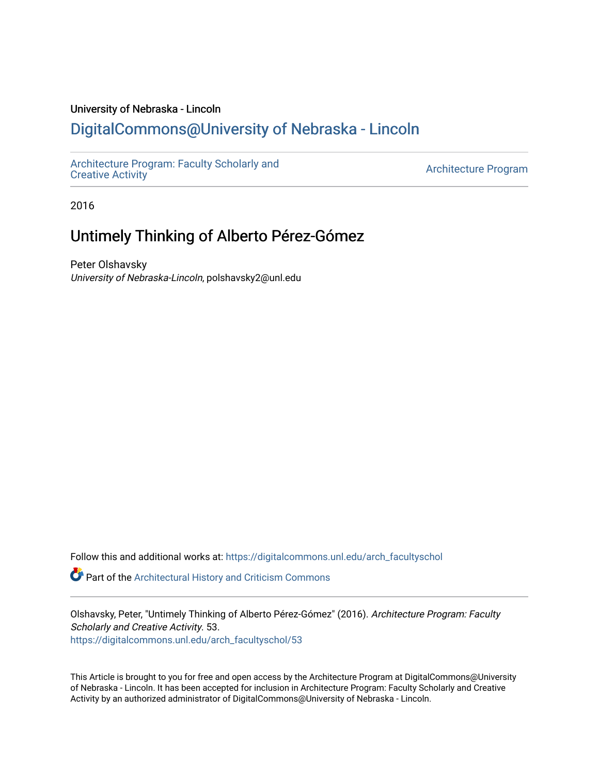#### University of Nebraska - Lincoln

### [DigitalCommons@University of Nebraska - Lincoln](https://digitalcommons.unl.edu/)

[Architecture Program: Faculty Scholarly and](https://digitalcommons.unl.edu/arch_facultyschol) 

Architecture Program

2016

## Untimely Thinking of Alberto Pérez-Gómez

Peter Olshavsky University of Nebraska-Lincoln, polshavsky2@unl.edu

Follow this and additional works at: [https://digitalcommons.unl.edu/arch\\_facultyschol](https://digitalcommons.unl.edu/arch_facultyschol?utm_source=digitalcommons.unl.edu%2Farch_facultyschol%2F53&utm_medium=PDF&utm_campaign=PDFCoverPages) 

Part of the [Architectural History and Criticism Commons](http://network.bepress.com/hgg/discipline/780?utm_source=digitalcommons.unl.edu%2Farch_facultyschol%2F53&utm_medium=PDF&utm_campaign=PDFCoverPages) 

Olshavsky, Peter, "Untimely Thinking of Alberto Pérez-Gómez" (2016). Architecture Program: Faculty Scholarly and Creative Activity. 53. [https://digitalcommons.unl.edu/arch\\_facultyschol/53](https://digitalcommons.unl.edu/arch_facultyschol/53?utm_source=digitalcommons.unl.edu%2Farch_facultyschol%2F53&utm_medium=PDF&utm_campaign=PDFCoverPages)

This Article is brought to you for free and open access by the Architecture Program at DigitalCommons@University of Nebraska - Lincoln. It has been accepted for inclusion in Architecture Program: Faculty Scholarly and Creative Activity by an authorized administrator of DigitalCommons@University of Nebraska - Lincoln.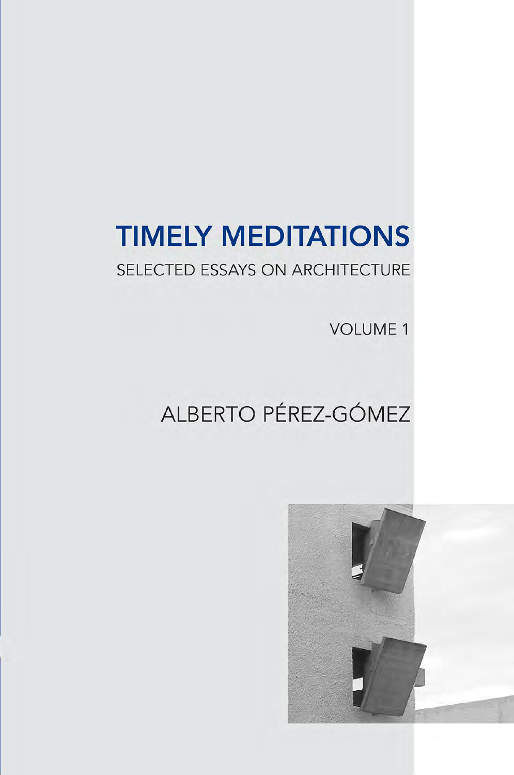# **TIMELY MEDITATIONS**

### SELECTED ESSAYS ON ARCHITECTURE

**VOLUME 1** 

## ALBERTO PÉREZ-GÓMEZ

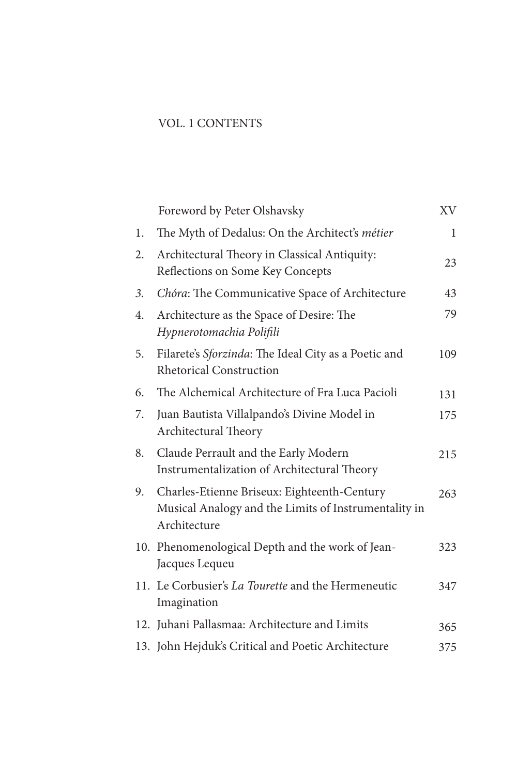#### VOL. 1 CONTENTS

| Foreword by Peter Olshavsky                                                                                         | XV  |
|---------------------------------------------------------------------------------------------------------------------|-----|
| The Myth of Dedalus: On the Architect's métier                                                                      | 1   |
| Architectural Theory in Classical Antiquity:<br>Reflections on Some Key Concepts                                    | 23  |
| Chóra: The Communicative Space of Architecture                                                                      | 43  |
| Architecture as the Space of Desire: The<br>Hypnerotomachia Polifili                                                | 79  |
| Filarete's Sforzinda: The Ideal City as a Poetic and<br><b>Rhetorical Construction</b>                              | 109 |
| The Alchemical Architecture of Fra Luca Pacioli                                                                     | 131 |
| Juan Bautista Villalpando's Divine Model in<br>Architectural Theory                                                 | 175 |
| Claude Perrault and the Early Modern<br>Instrumentalization of Architectural Theory                                 | 215 |
| Charles-Etienne Briseux: Eighteenth-Century<br>Musical Analogy and the Limits of Instrumentality in<br>Architecture | 263 |
| 10. Phenomenological Depth and the work of Jean-<br>Jacques Lequeu                                                  | 323 |
| 11. Le Corbusier's <i>La Tourette</i> and the Hermeneutic<br>Imagination                                            | 347 |
| 12. Juhani Pallasmaa: Architecture and Limits                                                                       | 365 |
| 13. John Hejduk's Critical and Poetic Architecture                                                                  | 375 |
|                                                                                                                     |     |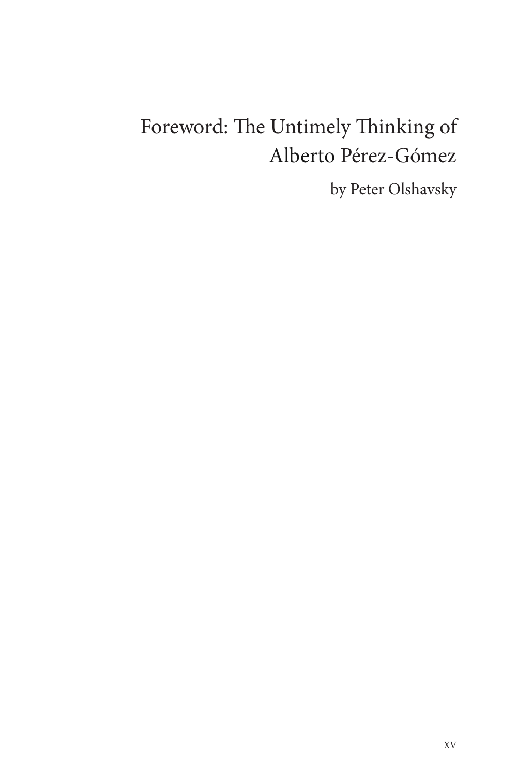## Foreword: The Untimely Thinking of Alberto Pérez-Gómez

by Peter Olshavsky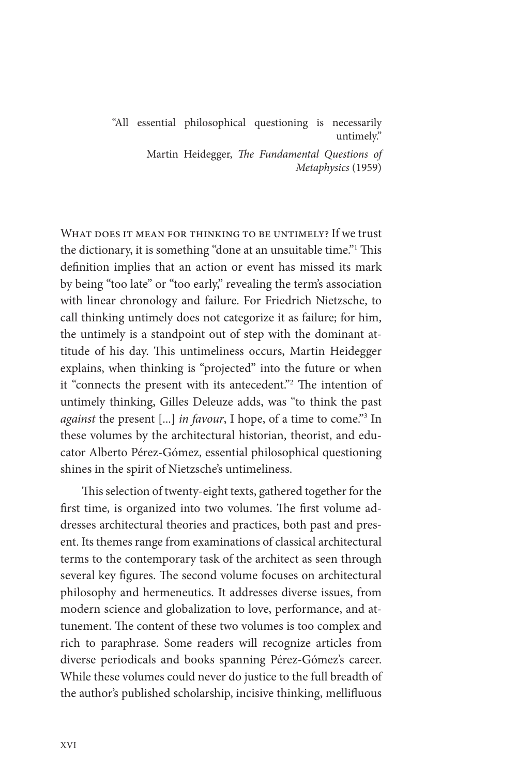"All essential philosophical questioning is necessarily untimely."

> Martin Heidegger, *The Fundamental Questions of Metaphysics* (1959)

WHAT DOES IT MEAN FOR THINKING TO BE UNTIMELY? If we trust the dictionary, it is something "done at an unsuitable time."<sup>1</sup> This definition implies that an action or event has missed its mark by being "too late" or "too early," revealing the term's association with linear chronology and failure. For Friedrich Nietzsche, to call thinking untimely does not categorize it as failure; for him, the untimely is a standpoint out of step with the dominant attitude of his day. This untimeliness occurs, Martin Heidegger explains, when thinking is "projected" into the future or when it "connects the present with its antecedent."<sup>2</sup> The intention of untimely thinking, Gilles Deleuze adds, was "to think the past *against* the present [...] *in favour*, I hope, of a time to come."3 In these volumes by the architectural historian, theorist, and educator Alberto Pérez-Gómez, essential philosophical questioning shines in the spirit of Nietzsche's untimeliness.

This selection of twenty-eight texts, gathered together for the first time, is organized into two volumes. The first volume addresses architectural theories and practices, both past and present. Its themes range from examinations of classical architectural terms to the contemporary task of the architect as seen through several key figures. The second volume focuses on architectural philosophy and hermeneutics. It addresses diverse issues, from modern science and globalization to love, performance, and attunement. The content of these two volumes is too complex and rich to paraphrase. Some readers will recognize articles from diverse periodicals and books spanning Pérez-Gómez's career. While these volumes could never do justice to the full breadth of the author's published scholarship, incisive thinking, mellifluous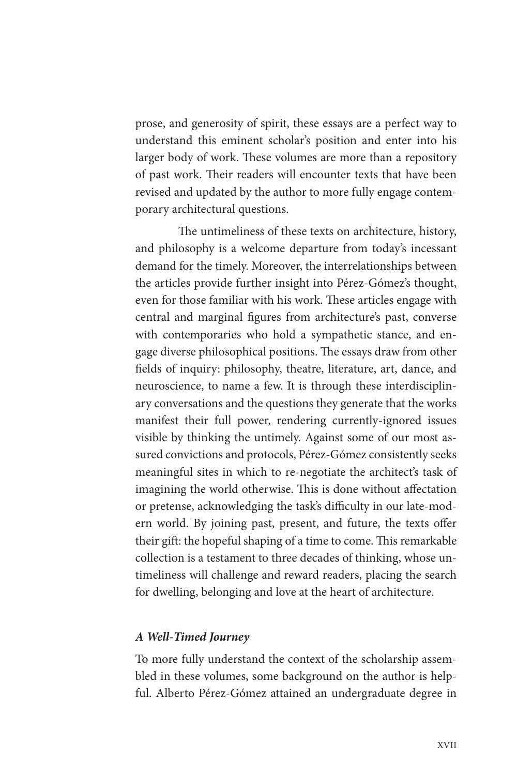prose, and generosity of spirit, these essays are a perfect way to understand this eminent scholar's position and enter into his larger body of work. These volumes are more than a repository of past work. Their readers will encounter texts that have been revised and updated by the author to more fully engage contemporary architectural questions.

The untimeliness of these texts on architecture, history, and philosophy is a welcome departure from today's incessant demand for the timely. Moreover, the interrelationships between the articles provide further insight into Pérez-Gómez's thought, even for those familiar with his work. These articles engage with central and marginal figures from architecture's past, converse with contemporaries who hold a sympathetic stance, and engage diverse philosophical positions. The essays draw from other fields of inquiry: philosophy, theatre, literature, art, dance, and neuroscience, to name a few. It is through these interdisciplinary conversations and the questions they generate that the works manifest their full power, rendering currently-ignored issues visible by thinking the untimely. Against some of our most assured convictions and protocols, Pérez-Gómez consistently seeks meaningful sites in which to re-negotiate the architect's task of imagining the world otherwise. This is done without affectation or pretense, acknowledging the task's difficulty in our late-modern world. By joining past, present, and future, the texts offer their gift: the hopeful shaping of a time to come. This remarkable collection is a testament to three decades of thinking, whose untimeliness will challenge and reward readers, placing the search for dwelling, belonging and love at the heart of architecture.

#### *A Well-Timed Journey*

To more fully understand the context of the scholarship assembled in these volumes, some background on the author is helpful. Alberto Pérez-Gómez attained an undergraduate degree in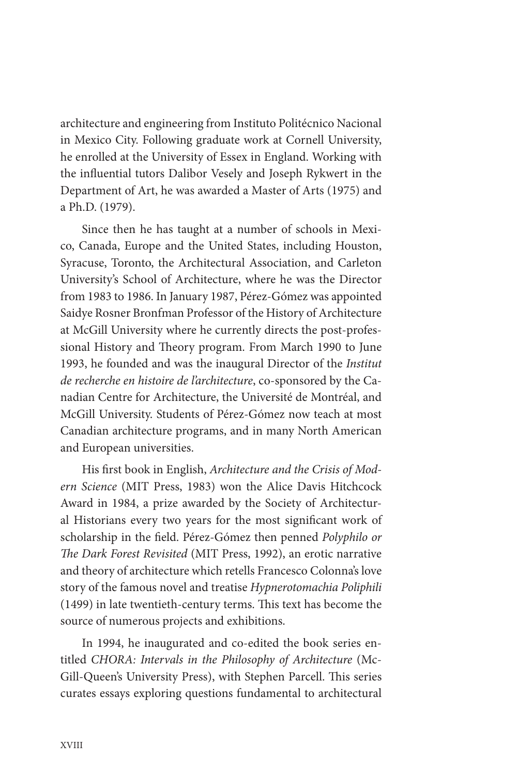architecture and engineering from Instituto Politécnico Nacional in Mexico City. Following graduate work at Cornell University, he enrolled at the University of Essex in England. Working with the influential tutors Dalibor Vesely and Joseph Rykwert in the Department of Art, he was awarded a Master of Arts (1975) and a Ph.D. (1979).

Since then he has taught at a number of schools in Mexico, Canada, Europe and the United States, including Houston, Syracuse, Toronto, the Architectural Association, and Carleton University's School of Architecture, where he was the Director from 1983 to 1986. In January 1987, Pérez-Gómez was appointed Saidye Rosner Bronfman Professor of the History of Architecture at McGill University where he currently directs the post-professional History and Theory program. From March 1990 to June 1993, he founded and was the inaugural Director of the *Institut de recherche en histoire de l'architecture*, co-sponsored by the Canadian Centre for Architecture, the Université de Montréal, and McGill University. Students of Pérez-Gómez now teach at most Canadian architecture programs, and in many North American and European universities.

His first book in English, *Architecture and the Crisis of Modern Science* (MIT Press, 1983) won the Alice Davis Hitchcock Award in 1984, a prize awarded by the Society of Architectural Historians every two years for the most significant work of scholarship in the field. Pérez-Gómez then penned *Polyphilo or The Dark Forest Revisited* (MIT Press, 1992), an erotic narrative and theory of architecture which retells Francesco Colonna's love story of the famous novel and treatise *Hypnerotomachia Poliphili* (1499) in late twentieth-century terms. This text has become the source of numerous projects and exhibitions.

In 1994, he inaugurated and co-edited the book series entitled *CHORA: Intervals in the Philosophy of Architecture* (Mc-Gill-Queen's University Press), with Stephen Parcell. This series curates essays exploring questions fundamental to architectural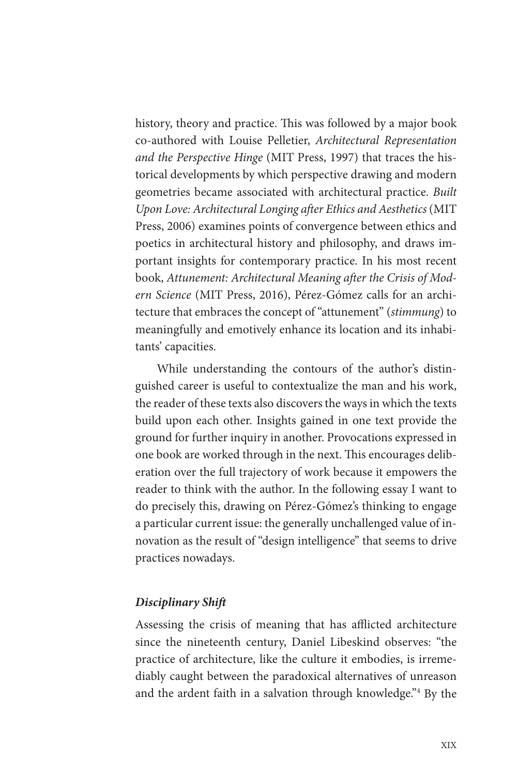history, theory and practice. This was followed by a major book co-authored with Louise Pelletier, *Architectural Representation and the Perspective Hinge* (MIT Press, 1997) that traces the historical developments by which perspective drawing and modern geometries became associated with architectural practice. *Built Upon Love: Architectural Longing after Ethics and Aesthetics* (MIT Press, 2006) examines points of convergence between ethics and poetics in architectural history and philosophy, and draws important insights for contemporary practice. In his most recent book, *Attunement: Architectural Meaning after the Crisis of Modern Science* (MIT Press, 2016), Pérez-Gómez calls for an architecture that embraces the concept of "attunement" (*stimmung*) to meaningfully and emotively enhance its location and its inhabitants' capacities.

While understanding the contours of the author's distinguished career is useful to contextualize the man and his work, the reader of these texts also discovers the ways in which the texts build upon each other. Insights gained in one text provide the ground for further inquiry in another. Provocations expressed in one book are worked through in the next. This encourages deliberation over the full trajectory of work because it empowers the reader to think with the author. In the following essay I want to do precisely this, drawing on Pérez-Gómez's thinking to engage a particular current issue: the generally unchallenged value of innovation as the result of "design intelligence" that seems to drive practices nowadays.

#### *Disciplinary Shift*

Assessing the crisis of meaning that has afflicted architecture since the nineteenth century, Daniel Libeskind observes: "the practice of architecture, like the culture it embodies, is irremediably caught between the paradoxical alternatives of unreason and the ardent faith in a salvation through knowledge."4 By the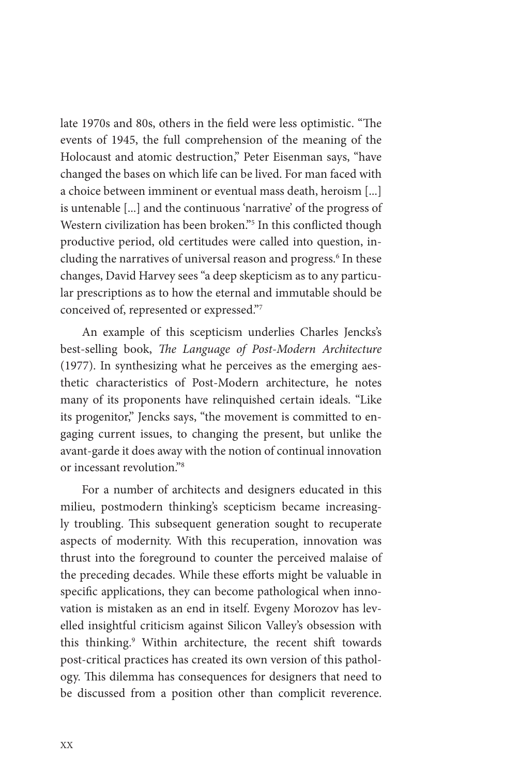late 1970s and 80s, others in the field were less optimistic. "The events of 1945, the full comprehension of the meaning of the Holocaust and atomic destruction," Peter Eisenman says, "have changed the bases on which life can be lived. For man faced with a choice between imminent or eventual mass death, heroism [...] is untenable [...] and the continuous 'narrative' of the progress of Western civilization has been broken."<sup>5</sup> In this conflicted though productive period, old certitudes were called into question, including the narratives of universal reason and progress.<sup>6</sup> In these changes, David Harvey sees "a deep skepticism as to any particular prescriptions as to how the eternal and immutable should be conceived of, represented or expressed."7

An example of this scepticism underlies Charles Jencks's best-selling book, *The Language of Post-Modern Architecture* (1977). In synthesizing what he perceives as the emerging aesthetic characteristics of Post-Modern architecture, he notes many of its proponents have relinquished certain ideals. "Like its progenitor," Jencks says, "the movement is committed to engaging current issues, to changing the present, but unlike the avant-garde it does away with the notion of continual innovation or incessant revolution."8

For a number of architects and designers educated in this milieu, postmodern thinking's scepticism became increasingly troubling. This subsequent generation sought to recuperate aspects of modernity. With this recuperation, innovation was thrust into the foreground to counter the perceived malaise of the preceding decades. While these efforts might be valuable in specific applications, they can become pathological when innovation is mistaken as an end in itself. Evgeny Morozov has levelled insightful criticism against Silicon Valley's obsession with this thinking.9 Within architecture, the recent shift towards post-critical practices has created its own version of this pathology. This dilemma has consequences for designers that need to be discussed from a position other than complicit reverence.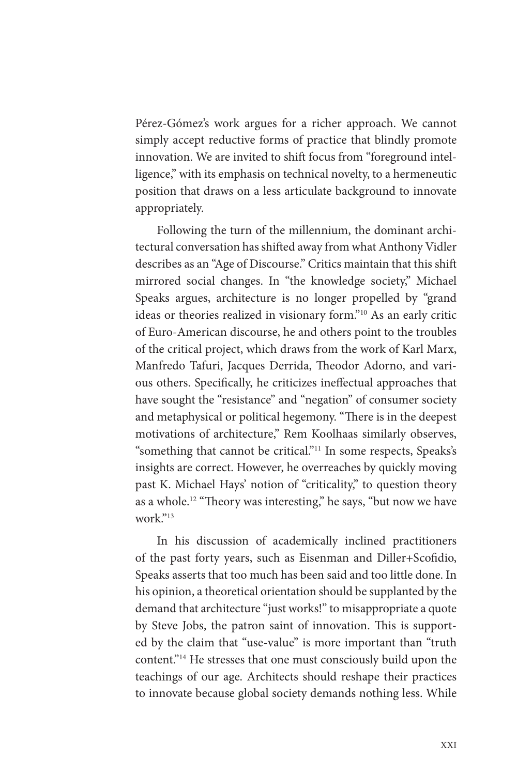Pérez-Gómez's work argues for a richer approach. We cannot simply accept reductive forms of practice that blindly promote innovation. We are invited to shift focus from "foreground intelligence," with its emphasis on technical novelty, to a hermeneutic position that draws on a less articulate background to innovate appropriately.

Following the turn of the millennium, the dominant architectural conversation has shifted away from what Anthony Vidler describes as an "Age of Discourse." Critics maintain that this shift mirrored social changes. In "the knowledge society," Michael Speaks argues, architecture is no longer propelled by "grand ideas or theories realized in visionary form."10 As an early critic of Euro-American discourse, he and others point to the troubles of the critical project, which draws from the work of Karl Marx, Manfredo Tafuri, Jacques Derrida, Theodor Adorno, and various others. Specifically, he criticizes ineffectual approaches that have sought the "resistance" and "negation" of consumer society and metaphysical or political hegemony. "There is in the deepest motivations of architecture," Rem Koolhaas similarly observes, "something that cannot be critical."11 In some respects, Speaks's insights are correct. However, he overreaches by quickly moving past K. Michael Hays' notion of "criticality," to question theory as a whole.12 "Theory was interesting," he says, "but now we have work."13

In his discussion of academically inclined practitioners of the past forty years, such as Eisenman and Diller+Scofidio, Speaks asserts that too much has been said and too little done. In his opinion, a theoretical orientation should be supplanted by the demand that architecture "just works!" to misappropriate a quote by Steve Jobs, the patron saint of innovation. This is supported by the claim that "use-value" is more important than "truth content."14 He stresses that one must consciously build upon the teachings of our age. Architects should reshape their practices to innovate because global society demands nothing less. While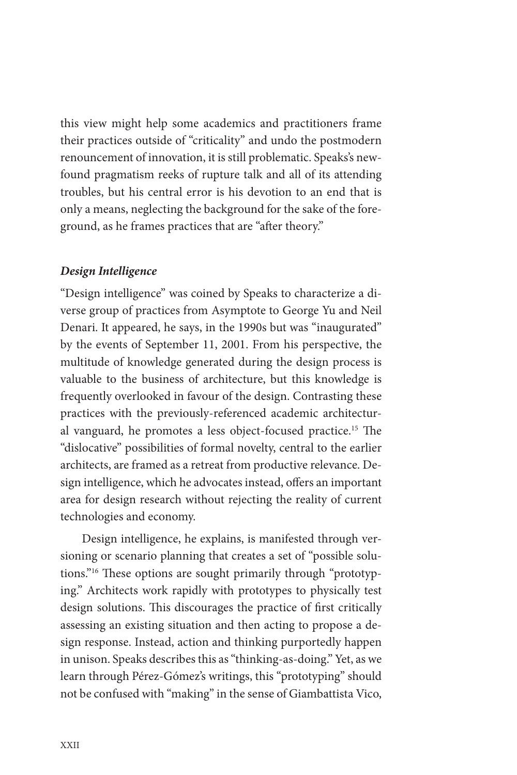this view might help some academics and practitioners frame their practices outside of "criticality" and undo the postmodern renouncement of innovation, it is still problematic. Speaks's newfound pragmatism reeks of rupture talk and all of its attending troubles, but his central error is his devotion to an end that is only a means, neglecting the background for the sake of the foreground, as he frames practices that are "after theory."

#### *Design Intelligence*

"Design intelligence" was coined by Speaks to characterize a diverse group of practices from Asymptote to George Yu and Neil Denari. It appeared, he says, in the 1990s but was "inaugurated" by the events of September 11, 2001. From his perspective, the multitude of knowledge generated during the design process is valuable to the business of architecture, but this knowledge is frequently overlooked in favour of the design. Contrasting these practices with the previously-referenced academic architectural vanguard, he promotes a less object-focused practice.15 The "dislocative" possibilities of formal novelty, central to the earlier architects, are framed as a retreat from productive relevance. Design intelligence, which he advocates instead, offers an important area for design research without rejecting the reality of current technologies and economy.

Design intelligence, he explains, is manifested through versioning or scenario planning that creates a set of "possible solutions."16 These options are sought primarily through "prototyping." Architects work rapidly with prototypes to physically test design solutions. This discourages the practice of first critically assessing an existing situation and then acting to propose a design response. Instead, action and thinking purportedly happen in unison. Speaks describes this as "thinking-as-doing." Yet, as we learn through Pérez-Gómez's writings, this "prototyping" should not be confused with "making" in the sense of Giambattista Vico,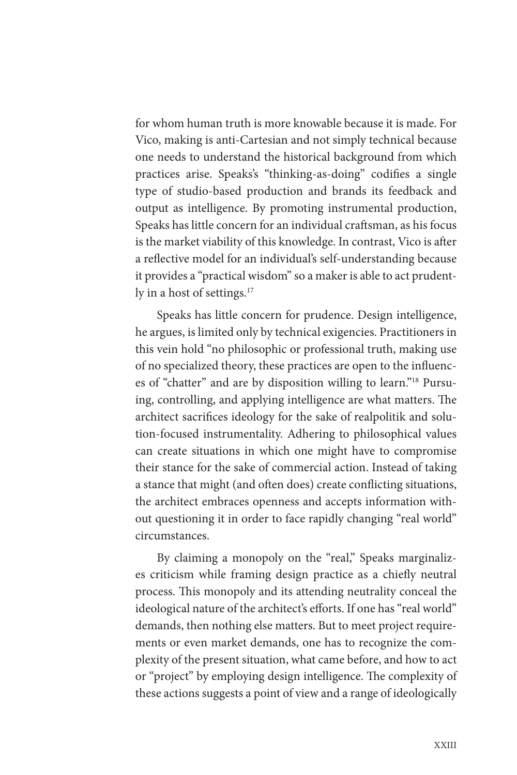for whom human truth is more knowable because it is made. For Vico, making is anti-Cartesian and not simply technical because one needs to understand the historical background from which practices arise. Speaks's "thinking-as-doing" codifies a single type of studio-based production and brands its feedback and output as intelligence. By promoting instrumental production, Speaks has little concern for an individual craftsman, as his focus is the market viability of this knowledge. In contrast, Vico is after a reflective model for an individual's self-understanding because it provides a "practical wisdom" so a maker is able to act prudently in a host of settings.<sup>17</sup>

Speaks has little concern for prudence. Design intelligence, he argues, is limited only by technical exigencies. Practitioners in this vein hold "no philosophic or professional truth, making use of no specialized theory, these practices are open to the influences of "chatter" and are by disposition willing to learn."18 Pursuing, controlling, and applying intelligence are what matters. The architect sacrifices ideology for the sake of realpolitik and solution-focused instrumentality. Adhering to philosophical values can create situations in which one might have to compromise their stance for the sake of commercial action. Instead of taking a stance that might (and often does) create conflicting situations, the architect embraces openness and accepts information without questioning it in order to face rapidly changing "real world" circumstances.

By claiming a monopoly on the "real," Speaks marginalizes criticism while framing design practice as a chiefly neutral process. This monopoly and its attending neutrality conceal the ideological nature of the architect's efforts. If one has "real world" demands, then nothing else matters. But to meet project requirements or even market demands, one has to recognize the complexity of the present situation, what came before, and how to act or "project" by employing design intelligence. The complexity of these actions suggests a point of view and a range of ideologically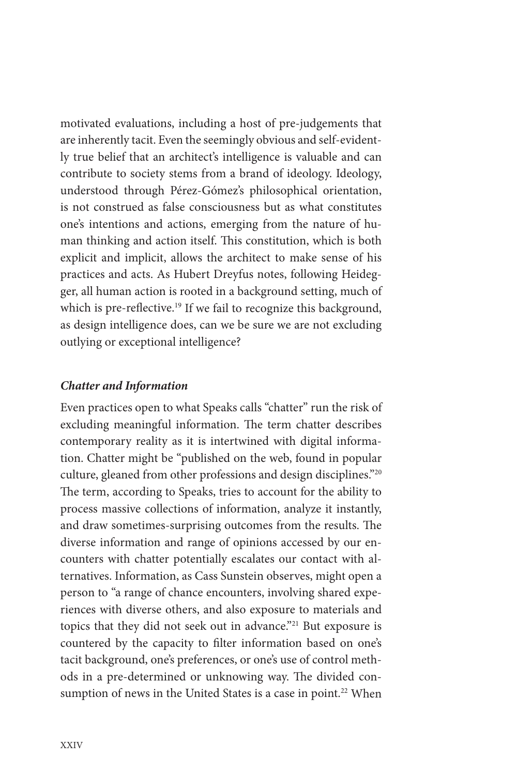motivated evaluations, including a host of pre-judgements that are inherently tacit. Even the seemingly obvious and self-evidently true belief that an architect's intelligence is valuable and can contribute to society stems from a brand of ideology. Ideology, understood through Pérez-Gómez's philosophical orientation, is not construed as false consciousness but as what constitutes one's intentions and actions, emerging from the nature of human thinking and action itself. This constitution, which is both explicit and implicit, allows the architect to make sense of his practices and acts. As Hubert Dreyfus notes, following Heidegger, all human action is rooted in a background setting, much of which is pre-reflective.<sup>19</sup> If we fail to recognize this background, as design intelligence does, can we be sure we are not excluding outlying or exceptional intelligence?

#### *Chatter and Information*

Even practices open to what Speaks calls "chatter" run the risk of excluding meaningful information. The term chatter describes contemporary reality as it is intertwined with digital information. Chatter might be "published on the web, found in popular culture, gleaned from other professions and design disciplines."20 The term, according to Speaks, tries to account for the ability to process massive collections of information, analyze it instantly, and draw sometimes-surprising outcomes from the results. The diverse information and range of opinions accessed by our encounters with chatter potentially escalates our contact with alternatives. Information, as Cass Sunstein observes, might open a person to "a range of chance encounters, involving shared experiences with diverse others, and also exposure to materials and topics that they did not seek out in advance."21 But exposure is countered by the capacity to filter information based on one's tacit background, one's preferences, or one's use of control methods in a pre-determined or unknowing way. The divided consumption of news in the United States is a case in point.<sup>22</sup> When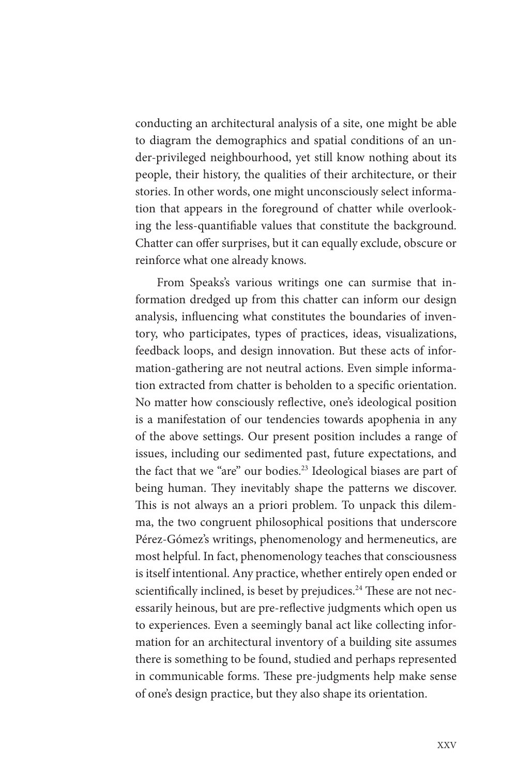conducting an architectural analysis of a site, one might be able to diagram the demographics and spatial conditions of an under-privileged neighbourhood, yet still know nothing about its people, their history, the qualities of their architecture, or their stories. In other words, one might unconsciously select information that appears in the foreground of chatter while overlooking the less-quantifiable values that constitute the background. Chatter can offer surprises, but it can equally exclude, obscure or reinforce what one already knows.

From Speaks's various writings one can surmise that information dredged up from this chatter can inform our design analysis, influencing what constitutes the boundaries of inventory, who participates, types of practices, ideas, visualizations, feedback loops, and design innovation. But these acts of information-gathering are not neutral actions. Even simple information extracted from chatter is beholden to a specific orientation. No matter how consciously reflective, one's ideological position is a manifestation of our tendencies towards apophenia in any of the above settings. Our present position includes a range of issues, including our sedimented past, future expectations, and the fact that we "are" our bodies.23 Ideological biases are part of being human. They inevitably shape the patterns we discover. This is not always an a priori problem. To unpack this dilemma, the two congruent philosophical positions that underscore Pérez-Gómez's writings, phenomenology and hermeneutics, are most helpful. In fact, phenomenology teaches that consciousness is itself intentional. Any practice, whether entirely open ended or scientifically inclined, is beset by prejudices.<sup>24</sup> These are not necessarily heinous, but are pre-reflective judgments which open us to experiences. Even a seemingly banal act like collecting information for an architectural inventory of a building site assumes there is something to be found, studied and perhaps represented in communicable forms. These pre-judgments help make sense of one's design practice, but they also shape its orientation.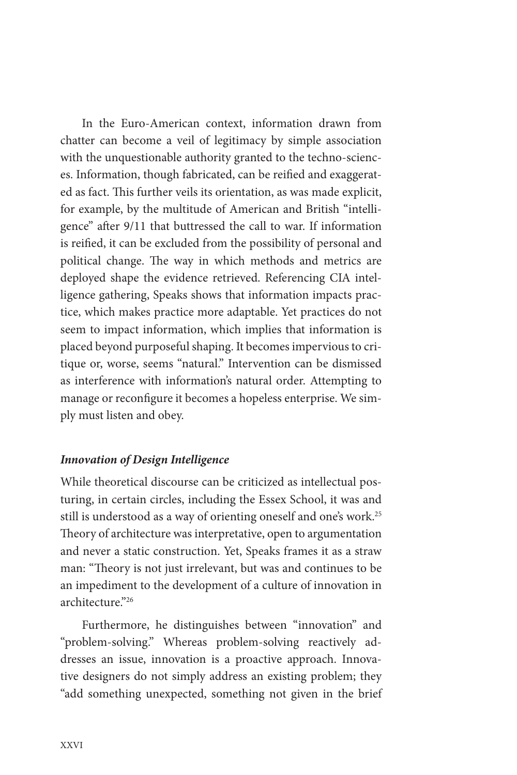In the Euro-American context, information drawn from chatter can become a veil of legitimacy by simple association with the unquestionable authority granted to the techno-sciences. Information, though fabricated, can be reified and exaggerated as fact. This further veils its orientation, as was made explicit, for example, by the multitude of American and British "intelligence" after 9/11 that buttressed the call to war. If information is reified, it can be excluded from the possibility of personal and political change. The way in which methods and metrics are deployed shape the evidence retrieved. Referencing CIA intelligence gathering, Speaks shows that information impacts practice, which makes practice more adaptable. Yet practices do not seem to impact information, which implies that information is placed beyond purposeful shaping. It becomes impervious to critique or, worse, seems "natural." Intervention can be dismissed as interference with information's natural order. Attempting to manage or reconfigure it becomes a hopeless enterprise. We simply must listen and obey.

#### *Innovation of Design Intelligence*

While theoretical discourse can be criticized as intellectual posturing, in certain circles, including the Essex School, it was and still is understood as a way of orienting oneself and one's work.<sup>25</sup> Theory of architecture was interpretative, open to argumentation and never a static construction. Yet, Speaks frames it as a straw man: "Theory is not just irrelevant, but was and continues to be an impediment to the development of a culture of innovation in architecture."26

Furthermore, he distinguishes between "innovation" and "problem-solving." Whereas problem-solving reactively addresses an issue, innovation is a proactive approach. Innovative designers do not simply address an existing problem; they "add something unexpected, something not given in the brief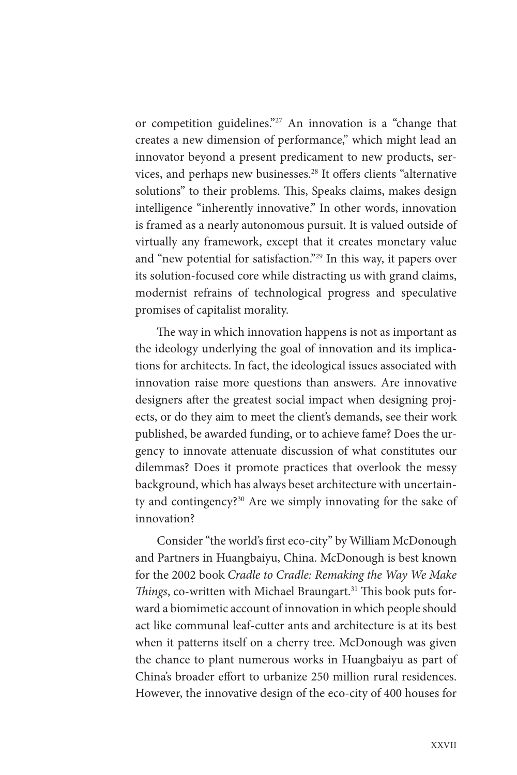or competition guidelines."27 An innovation is a "change that creates a new dimension of performance," which might lead an innovator beyond a present predicament to new products, services, and perhaps new businesses.28 It offers clients "alternative solutions" to their problems. This, Speaks claims, makes design intelligence "inherently innovative." In other words, innovation is framed as a nearly autonomous pursuit. It is valued outside of virtually any framework, except that it creates monetary value and "new potential for satisfaction."29 In this way, it papers over its solution-focused core while distracting us with grand claims, modernist refrains of technological progress and speculative promises of capitalist morality.

The way in which innovation happens is not as important as the ideology underlying the goal of innovation and its implications for architects. In fact, the ideological issues associated with innovation raise more questions than answers. Are innovative designers after the greatest social impact when designing projects, or do they aim to meet the client's demands, see their work published, be awarded funding, or to achieve fame? Does the urgency to innovate attenuate discussion of what constitutes our dilemmas? Does it promote practices that overlook the messy background, which has always beset architecture with uncertainty and contingency?30 Are we simply innovating for the sake of innovation?

Consider "the world's first eco-city" by William McDonough and Partners in Huangbaiyu, China. McDonough is best known for the 2002 book *Cradle to Cradle: Remaking the Way We Make Things*, co-written with Michael Braungart.31 This book puts forward a biomimetic account of innovation in which people should act like communal leaf-cutter ants and architecture is at its best when it patterns itself on a cherry tree. McDonough was given the chance to plant numerous works in Huangbaiyu as part of China's broader effort to urbanize 250 million rural residences. However, the innovative design of the eco-city of 400 houses for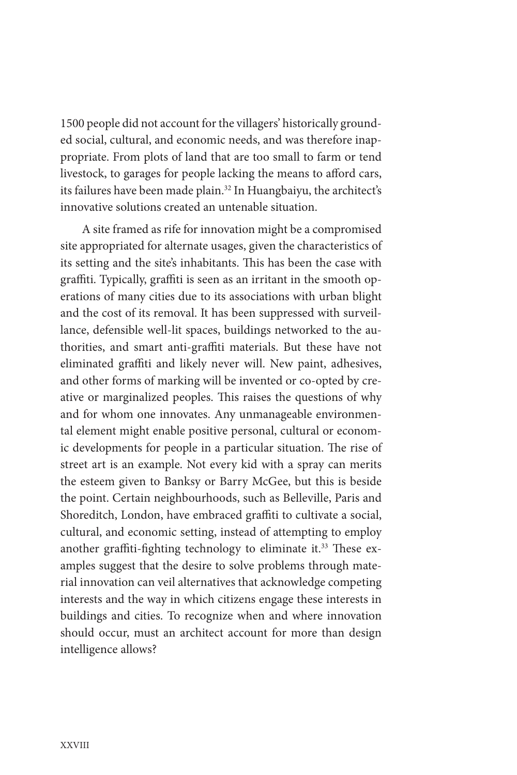1500 people did not account for the villagers' historically grounded social, cultural, and economic needs, and was therefore inappropriate. From plots of land that are too small to farm or tend livestock, to garages for people lacking the means to afford cars, its failures have been made plain.<sup>32</sup> In Huangbaiyu, the architect's innovative solutions created an untenable situation.

A site framed as rife for innovation might be a compromised site appropriated for alternate usages, given the characteristics of its setting and the site's inhabitants. This has been the case with graffiti. Typically, graffiti is seen as an irritant in the smooth operations of many cities due to its associations with urban blight and the cost of its removal. It has been suppressed with surveillance, defensible well-lit spaces, buildings networked to the authorities, and smart anti-graffiti materials. But these have not eliminated graffiti and likely never will. New paint, adhesives, and other forms of marking will be invented or co-opted by creative or marginalized peoples. This raises the questions of why and for whom one innovates. Any unmanageable environmental element might enable positive personal, cultural or economic developments for people in a particular situation. The rise of street art is an example. Not every kid with a spray can merits the esteem given to Banksy or Barry McGee, but this is beside the point. Certain neighbourhoods, such as Belleville, Paris and Shoreditch, London, have embraced graffiti to cultivate a social, cultural, and economic setting, instead of attempting to employ another graffiti-fighting technology to eliminate it.<sup>33</sup> These examples suggest that the desire to solve problems through material innovation can veil alternatives that acknowledge competing interests and the way in which citizens engage these interests in buildings and cities. To recognize when and where innovation should occur, must an architect account for more than design intelligence allows?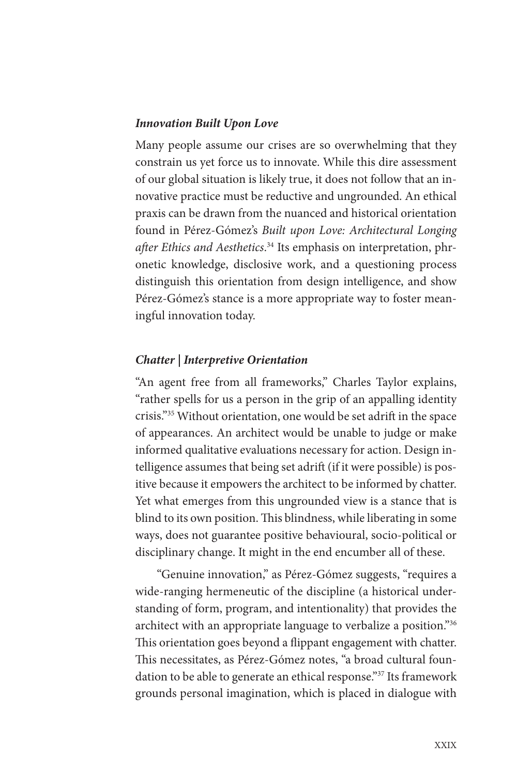#### *Innovation Built Upon Love*

Many people assume our crises are so overwhelming that they constrain us yet force us to innovate. While this dire assessment of our global situation is likely true, it does not follow that an innovative practice must be reductive and ungrounded. An ethical praxis can be drawn from the nuanced and historical orientation found in Pérez-Gómez's *Built upon Love: Architectural Longing after Ethics and Aesthetics*. 34 Its emphasis on interpretation, phronetic knowledge, disclosive work, and a questioning process distinguish this orientation from design intelligence, and show Pérez-Gómez's stance is a more appropriate way to foster meaningful innovation today.

#### *Chatter | Interpretive Orientation*

"An agent free from all frameworks," Charles Taylor explains, "rather spells for us a person in the grip of an appalling identity crisis."35 Without orientation, one would be set adrift in the space of appearances. An architect would be unable to judge or make informed qualitative evaluations necessary for action. Design intelligence assumes that being set adrift (if it were possible) is positive because it empowers the architect to be informed by chatter. Yet what emerges from this ungrounded view is a stance that is blind to its own position. This blindness, while liberating in some ways, does not guarantee positive behavioural, socio-political or disciplinary change. It might in the end encumber all of these.

"Genuine innovation," as Pérez-Gómez suggests, "requires a wide-ranging hermeneutic of the discipline (a historical understanding of form, program, and intentionality) that provides the architect with an appropriate language to verbalize a position."36 This orientation goes beyond a flippant engagement with chatter. This necessitates, as Pérez-Gómez notes, "a broad cultural foundation to be able to generate an ethical response."37 Its framework grounds personal imagination, which is placed in dialogue with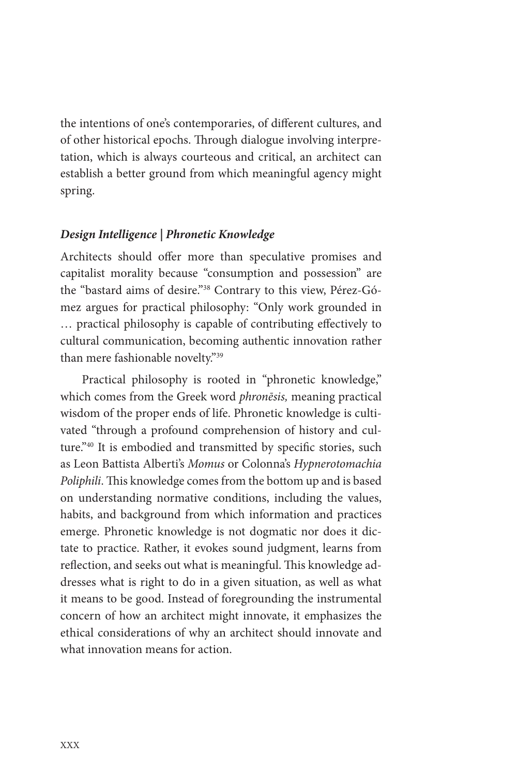the intentions of one's contemporaries, of different cultures, and of other historical epochs. Through dialogue involving interpretation, which is always courteous and critical, an architect can establish a better ground from which meaningful agency might spring.

#### *Design Intelligence | Phronetic Knowledge*

Architects should offer more than speculative promises and capitalist morality because "consumption and possession" are the "bastard aims of desire."38 Contrary to this view, Pérez-Gómez argues for practical philosophy: "Only work grounded in … practical philosophy is capable of contributing effectively to cultural communication, becoming authentic innovation rather than mere fashionable novelty."39

Practical philosophy is rooted in "phronetic knowledge," which comes from the Greek word *phronēsis,* meaning practical wisdom of the proper ends of life. Phronetic knowledge is cultivated "through a profound comprehension of history and culture."40 It is embodied and transmitted by specific stories, such as Leon Battista Alberti's *Momus* or Colonna's *Hypnerotomachia Poliphili*. This knowledge comes from the bottom up and is based on understanding normative conditions, including the values, habits, and background from which information and practices emerge. Phronetic knowledge is not dogmatic nor does it dictate to practice. Rather, it evokes sound judgment, learns from reflection, and seeks out what is meaningful. This knowledge addresses what is right to do in a given situation, as well as what it means to be good. Instead of foregrounding the instrumental concern of how an architect might innovate, it emphasizes the ethical considerations of why an architect should innovate and what innovation means for action.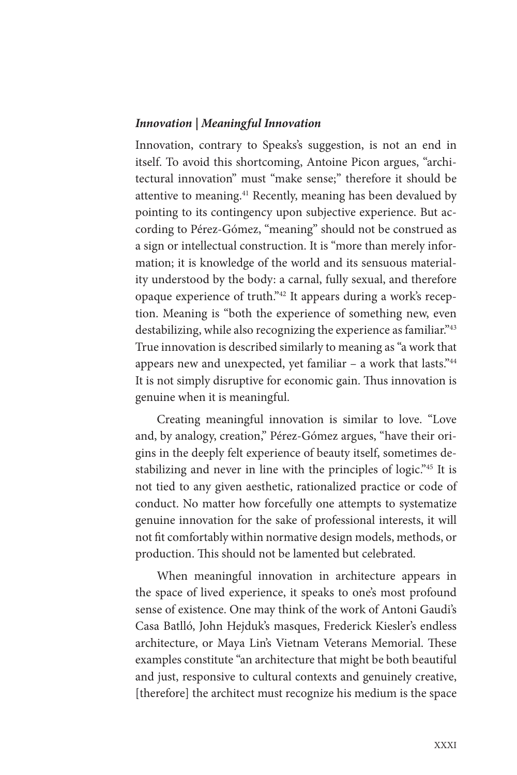#### *Innovation | Meaningful Innovation*

Innovation, contrary to Speaks's suggestion, is not an end in itself. To avoid this shortcoming, Antoine Picon argues, "architectural innovation" must "make sense;" therefore it should be attentive to meaning.41 Recently, meaning has been devalued by pointing to its contingency upon subjective experience. But according to Pérez-Gómez, "meaning" should not be construed as a sign or intellectual construction. It is "more than merely information; it is knowledge of the world and its sensuous materiality understood by the body: a carnal, fully sexual, and therefore opaque experience of truth."42 It appears during a work's reception. Meaning is "both the experience of something new, even destabilizing, while also recognizing the experience as familiar."43 True innovation is described similarly to meaning as "a work that appears new and unexpected, yet familiar  $-$  a work that lasts." $44$ It is not simply disruptive for economic gain. Thus innovation is genuine when it is meaningful.

Creating meaningful innovation is similar to love. "Love and, by analogy, creation," Pérez-Gómez argues, "have their origins in the deeply felt experience of beauty itself, sometimes destabilizing and never in line with the principles of logic."45 It is not tied to any given aesthetic, rationalized practice or code of conduct. No matter how forcefully one attempts to systematize genuine innovation for the sake of professional interests, it will not fit comfortably within normative design models, methods, or production. This should not be lamented but celebrated.

When meaningful innovation in architecture appears in the space of lived experience, it speaks to one's most profound sense of existence. One may think of the work of Antoni Gaudi's Casa Batlló, John Hejduk's masques, Frederick Kiesler's endless architecture, or Maya Lin's Vietnam Veterans Memorial. These examples constitute "an architecture that might be both beautiful and just, responsive to cultural contexts and genuinely creative, [therefore] the architect must recognize his medium is the space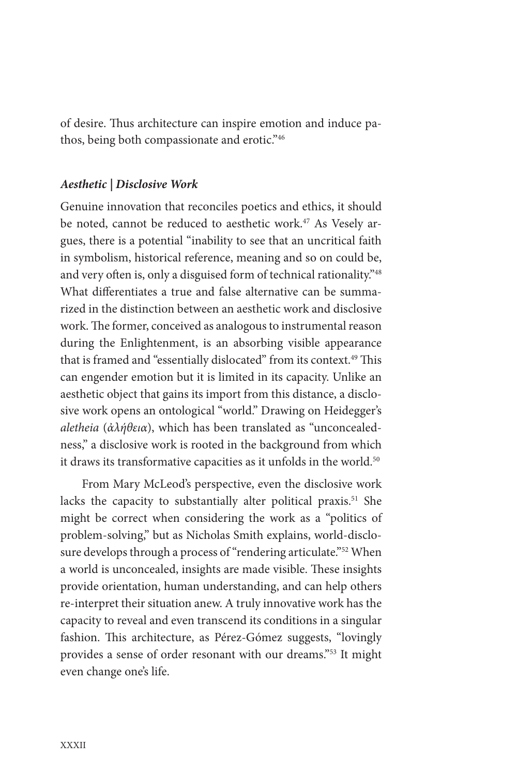of desire. Thus architecture can inspire emotion and induce pathos, being both compassionate and erotic."46

#### *Aesthetic | Disclosive Work*

Genuine innovation that reconciles poetics and ethics, it should be noted, cannot be reduced to aesthetic work.<sup>47</sup> As Vesely argues, there is a potential "inability to see that an uncritical faith in symbolism, historical reference, meaning and so on could be, and very often is, only a disguised form of technical rationality."48 What differentiates a true and false alternative can be summarized in the distinction between an aesthetic work and disclosive work. The former, conceived as analogous to instrumental reason during the Enlightenment, is an absorbing visible appearance that is framed and "essentially dislocated" from its context.<sup>49</sup> This can engender emotion but it is limited in its capacity. Unlike an aesthetic object that gains its import from this distance, a disclosive work opens an ontological "world." Drawing on Heidegger's *aletheia* (*ἀλήθεια*), which has been translated as "unconcealedness," a disclosive work is rooted in the background from which it draws its transformative capacities as it unfolds in the world.<sup>50</sup>

From Mary McLeod's perspective, even the disclosive work lacks the capacity to substantially alter political praxis.<sup>51</sup> She might be correct when considering the work as a "politics of problem-solving," but as Nicholas Smith explains, world-disclosure develops through a process of "rendering articulate."<sup>52</sup> When a world is unconcealed, insights are made visible. These insights provide orientation, human understanding, and can help others re-interpret their situation anew. A truly innovative work has the capacity to reveal and even transcend its conditions in a singular fashion. This architecture, as Pérez-Gómez suggests, "lovingly provides a sense of order resonant with our dreams."53 It might even change one's life.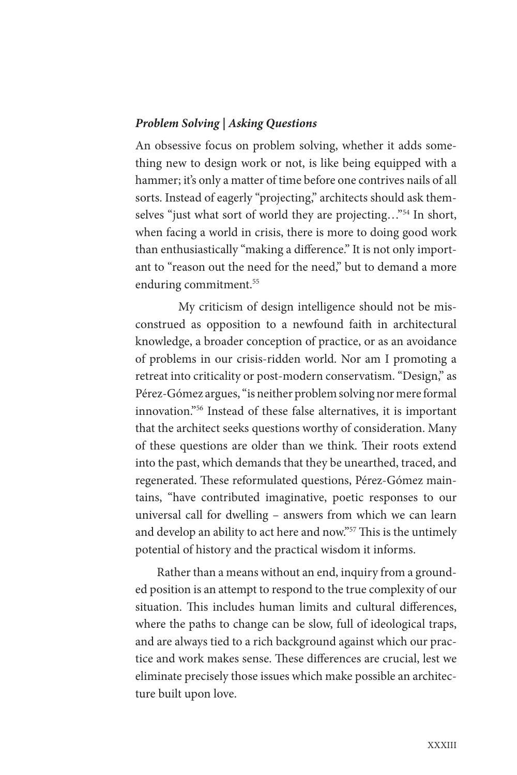#### *Problem Solving | Asking Questions*

An obsessive focus on problem solving, whether it adds something new to design work or not, is like being equipped with a hammer; it's only a matter of time before one contrives nails of all sorts. Instead of eagerly "projecting," architects should ask themselves "just what sort of world they are projecting…"54 In short, when facing a world in crisis, there is more to doing good work than enthusiastically "making a difference." It is not only important to "reason out the need for the need," but to demand a more enduring commitment.<sup>55</sup>

My criticism of design intelligence should not be misconstrued as opposition to a newfound faith in architectural knowledge, a broader conception of practice, or as an avoidance of problems in our crisis-ridden world. Nor am I promoting a retreat into criticality or post-modern conservatism. "Design," as Pérez-Gómez argues, "is neither problem solving nor mere formal innovation."56 Instead of these false alternatives, it is important that the architect seeks questions worthy of consideration. Many of these questions are older than we think. Their roots extend into the past, which demands that they be unearthed, traced, and regenerated. These reformulated questions, Pérez-Gómez maintains, "have contributed imaginative, poetic responses to our universal call for dwelling – answers from which we can learn and develop an ability to act here and now."57 This is the untimely potential of history and the practical wisdom it informs.

Rather than a means without an end, inquiry from a grounded position is an attempt to respond to the true complexity of our situation. This includes human limits and cultural differences, where the paths to change can be slow, full of ideological traps, and are always tied to a rich background against which our practice and work makes sense. These differences are crucial, lest we eliminate precisely those issues which make possible an architecture built upon love.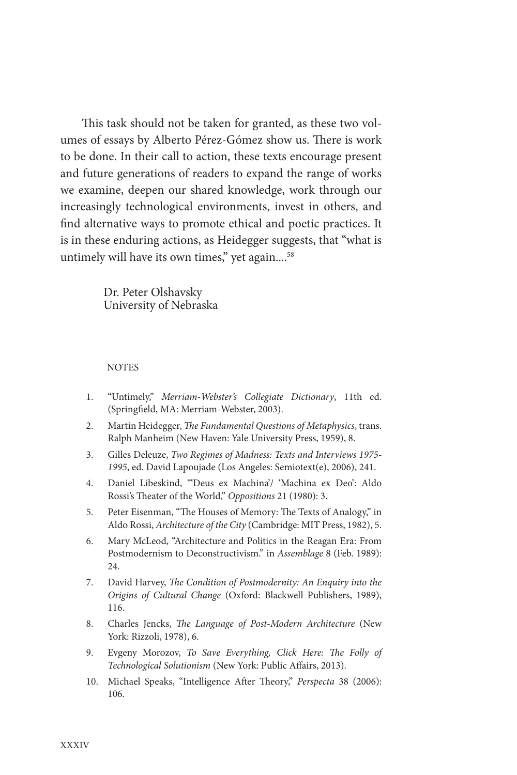This task should not be taken for granted, as these two volumes of essays by Alberto Pérez-Gómez show us. There is work to be done. In their call to action, these texts encourage present and future generations of readers to expand the range of works we examine, deepen our shared knowledge, work through our increasingly technological environments, invest in others, and find alternative ways to promote ethical and poetic practices. It is in these enduring actions, as Heidegger suggests, that "what is untimely will have its own times," yet again....<sup>58</sup>

> Dr. Peter Olshavsky University of Nebraska

#### **NOTES**

- 1. "Untimely," *Merriam-Webster's Collegiate Dictionary*, 11th ed. (Springfield, MA: Merriam-Webster, 2003).
- 2. Martin Heidegger, *The Fundamental Questions of Metaphysics*, trans. Ralph Manheim (New Haven: Yale University Press, 1959), 8.
- 3. Gilles Deleuze, *Two Regimes of Madness: Texts and Interviews 1975- 1995*, ed. David Lapoujade (Los Angeles: Semiotext(e), 2006), 241.
- 4. Daniel Libeskind, "'Deus ex Machina'/ 'Machina ex Deo': Aldo Rossi's Theater of the World," *Oppositions* 21 (1980): 3.
- 5. Peter Eisenman, "The Houses of Memory: The Texts of Analogy," in Aldo Rossi, *Architecture of the City* (Cambridge: MIT Press, 1982), 5.
- 6. Mary McLeod, "Architecture and Politics in the Reagan Era: From Postmodernism to Deconstructivism." in *Assemblage* 8 (Feb. 1989): 24.
- 7. David Harvey, *The Condition of Postmodernity: An Enquiry into the Origins of Cultural Change* (Oxford: Blackwell Publishers, 1989), 116.
- 8. Charles Jencks, *The Language of Post-Modern Architecture* (New York: Rizzoli, 1978), 6.
- 9. Evgeny Morozov, *To Save Everything, Click Here: The Folly of Technological Solutionism* (New York: Public Affairs, 2013).
- 10. Michael Speaks, "Intelligence After Theory," *Perspecta* 38 (2006): 106.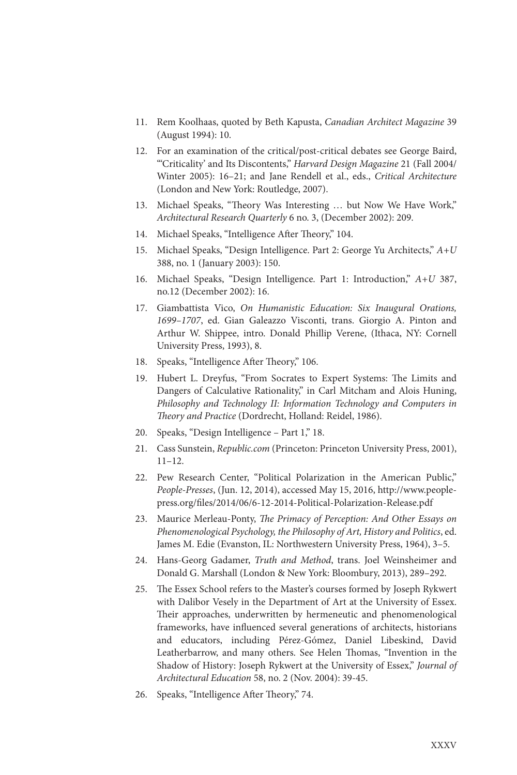- 11. Rem Koolhaas, quoted by Beth Kapusta, *Canadian Architect Magazine* 39 (August 1994): 10.
- 12. For an examination of the critical/post-critical debates see George Baird, "'Criticality' and Its Discontents," *Harvard Design Magazine* 21 (Fall 2004/ Winter 2005): 16–21; and Jane Rendell et al., eds., *Critical Architecture* (London and New York: Routledge, 2007).
- 13. Michael Speaks, "Theory Was Interesting … but Now We Have Work," *Architectural Research Quarterly* 6 no. 3, (December 2002): 209.
- 14. Michael Speaks, "Intelligence After Theory," 104.
- 15. Michael Speaks, "Design Intelligence. Part 2: George Yu Architects," *A+U* 388, no. 1 (January 2003): 150.
- 16. Michael Speaks, "Design Intelligence. Part 1: Introduction," *A+U* 387, no.12 (December 2002): 16.
- 17. Giambattista Vico, *On Humanistic Education: Six Inaugural Orations, 1699–1707*, ed. Gian Galeazzo Visconti, trans. Giorgio A. Pinton and Arthur W. Shippee, intro. Donald Phillip Verene, (Ithaca, NY: Cornell University Press, 1993), 8.
- 18. Speaks, "Intelligence After Theory," 106.
- 19. Hubert L. Dreyfus, "From Socrates to Expert Systems: The Limits and Dangers of Calculative Rationality," in Carl Mitcham and Alois Huning, *Philosophy and Technology II: Information Technology and Computers in Theory and Practice* (Dordrecht, Holland: Reidel, 1986).
- 20. Speaks, "Design Intelligence Part 1," 18.
- 21. Cass Sunstein, *Republic.com* (Princeton: Princeton University Press, 2001), 11–12.
- 22. Pew Research Center, "Political Polarization in the American Public," *People-Presses*, (Jun. 12, 2014), accessed May 15, 2016, http://www.peoplepress.org/files/2014/06/6-12-2014-Political-Polarization-Release.pdf
- 23. Maurice Merleau-Ponty, *The Primacy of Perception: And Other Essays on Phenomenological Psychology, the Philosophy of Art, History and Politics*, ed. James M. Edie (Evanston, IL: Northwestern University Press, 1964), 3–5.
- 24. Hans-Georg Gadamer, *Truth and Method*, trans. Joel Weinsheimer and Donald G. Marshall (London & New York: Bloombury, 2013), 289–292.
- 25. The Essex School refers to the Master's courses formed by Joseph Rykwert with Dalibor Vesely in the Department of Art at the University of Essex. Their approaches, underwritten by hermeneutic and phenomenological frameworks, have influenced several generations of architects, historians and educators, including Pérez-Gómez, Daniel Libeskind, David Leatherbarrow, and many others. See Helen Thomas, "Invention in the Shadow of History: Joseph Rykwert at the University of Essex," *Journal of Architectural Education* 58, no. 2 (Nov. 2004): 39-45.
- 26. Speaks, "Intelligence After Theory," 74.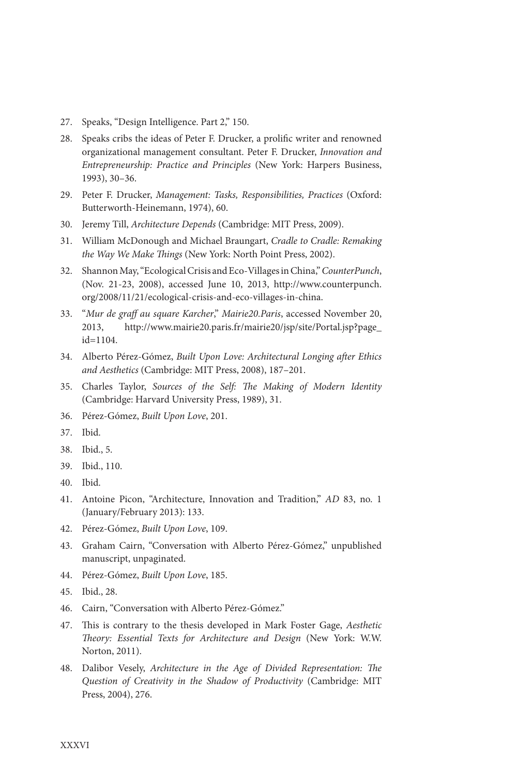- 27. Speaks, "Design Intelligence. Part 2," 150.
- 28. Speaks cribs the ideas of Peter F. Drucker, a prolific writer and renowned organizational management consultant. Peter F. Drucker, *Innovation and Entrepreneurship: Practice and Principles* (New York: Harpers Business, 1993), 30–36.
- 29. Peter F. Drucker, *Management: Tasks, Responsibilities, Practices* (Oxford: Butterworth-Heinemann, 1974), 60.
- 30. Jeremy Till, *Architecture Depends* (Cambridge: MIT Press, 2009).
- 31. William McDonough and Michael Braungart, *Cradle to Cradle: Remaking the Way We Make Things* (New York: North Point Press, 2002).
- 32. Shannon May, "Ecological Crisis and Eco-Villages in China," *CounterPunch*, (Nov. 21-23, 2008), accessed June 10, 2013, http://www.counterpunch. org/2008/11/21/ecological-crisis-and-eco-villages-in-china.
- 33. "*Mur de graff au square Karcher*," *Mairie20.Paris*, accessed November 20, 2013, http://www.mairie20.paris.fr/mairie20/jsp/site/Portal.jsp?page\_ id=1104.
- 34. Alberto Pérez-Gómez, *Built Upon Love: Architectural Longing after Ethics and Aesthetics* (Cambridge: MIT Press, 2008), 187–201.
- 35. Charles Taylor, *Sources of the Self: The Making of Modern Identity* (Cambridge: Harvard University Press, 1989), 31.
- 36. Pérez-Gómez, *Built Upon Love*, 201.
- 37. Ibid.
- 38. Ibid., 5.
- 39. Ibid., 110.
- 40. Ibid.
- 41. Antoine Picon, "Architecture, Innovation and Tradition," *AD* 83, no. 1 (January/February 2013): 133.
- 42. Pérez-Gómez, *Built Upon Love*, 109.
- 43. Graham Cairn, "Conversation with Alberto Pérez-Gómez," unpublished manuscript, unpaginated.
- 44. Pérez-Gómez, *Built Upon Love*, 185.
- 45. Ibid., 28.
- 46. Cairn, "Conversation with Alberto Pérez-Gómez."
- 47. This is contrary to the thesis developed in Mark Foster Gage, *Aesthetic Theory: Essential Texts for Architecture and Design* (New York: W.W. Norton, 2011).
- 48. Dalibor Vesely, *Architecture in the Age of Divided Representation: The Question of Creativity in the Shadow of Productivity* (Cambridge: MIT Press, 2004), 276.